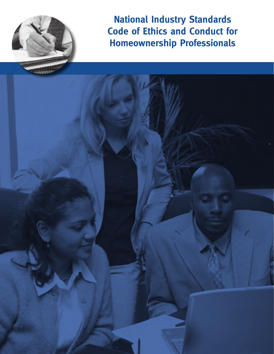

**National Industry Standards Code of Ethics and Conduct for Homeownership Professionals**

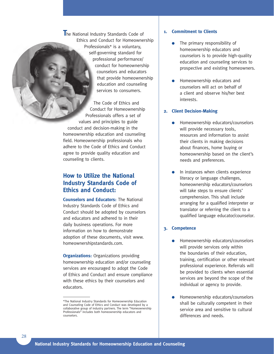**T**he National Industry Standards Code of Ethics and Conduct for Homeownership Professionals\* is a voluntary, self-governing standard for professional performance/ conduct for homeownership counselors and educators that provide homeownership education and counseling services to consumers.

The Code of Ethics and Conduct for Homeownership Professionals offers a set of values and principles to guide conduct and decision-making in the homeownership education and counseling field. Homeownership professionals who adhere to the Code of Ethics and Conduct agree to provide quality education and counseling to clients.

# **How to Utilize the National Industry Standards Code of Ethics and Conduct:**

**Counselors and Educators:** The National Industry Standards Code of Ethics and Conduct should be adopted by counselors and educators and adhered to in their daily business operations. For more information on how to demonstrate adoption of these documents, visit www. homeownershipstandards.com.

**Organizations:** Organizations providing homeownership education and/or counseling services are encouraged to adopt the Code of Ethics and Conduct and ensure compliance with these ethics by their counselors and educators.

#### **1. Commitment to Clients**

- The primary responsibility of homeownership educators and counselors is to provide high-quality education and counseling services to prospective and existing homeowners.
- Homeownership educators and counselors will act on behalf of a client and observe his/her best interests.

#### **2. Client Decision-Making**

- Homeownership educators/counselors will provide necessary tools, resources and information to assist their clients in making decisions about finances, home buying or homeownership based on the client's needs and preferences.
- In instances when clients experience literacy or language challenges, homeownership educators/counselors will take steps to ensure clients' comprehension. This shall include arranging for a qualified interpreter or translator or referring the client to a qualified language educator/counselor.

#### **3. Competence**

- Homeownership educators/counselors will provide services only within the boundaries of their education, training, certification or other relevant professional experience. Referrals will be provided to clients when essential services are beyond the scope of the individual or agency to provide.
- Homeownership educators/counselors shall be culturally competent in their service area and sensitive to cultural differences and needs.

<sup>\*</sup>The National Industry Standards for Homeownership Education and Counseling Code of Ethics and Conduct was developed by a collaborative group of industry partners. The term "Homeownership Professionals" includes both homeownership educators and counselors.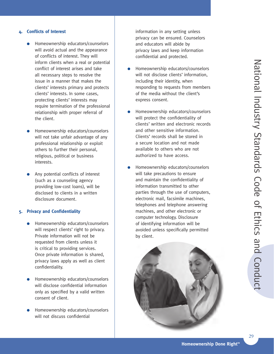#### **4. Conflicts of Interest**

- Homeownership educators/counselors will avoid actual and the appearance of conflicts of interest. They will inform clients when a real or potential conflict of interest arises and take all necessary steps to resolve the issue in a manner that makes the clients' interests primary and protects clients' interests. In some cases, protecting clients' interests may require termination of the professional relationship with proper referral of the client.
- Homeownership educators/counselors will not take unfair advantage of any professional relationship or exploit others to further their personal, religious, political or business interests.
- Any potential conflicts of interest (such as a counseling agency providing low-cost loans), will be disclosed to clients in a written disclosure document.

## **5. Privacy and Confidentiality**

- Homeownership educators/counselors will respect clients' right to privacy. Private information will not be requested from clients unless it is critical to providing services. Once private information is shared, privacy laws apply as well as client confidentiality.
- Homeownership educators/counselors will disclose confidential information only as specified by a valid written consent of client.
- Homeownership educators/counselors will not discuss confidential

information in any setting unless privacy can be ensured. Counselors and educators will abide by privacy laws and keep information confidential and protected.

- Homeownership educators/counselors will not disclose clients' information, including their identity, when responding to requests from members of the media without the client's express consent.
- Homeownership educators/counselors will protect the confidentiality of clients' written and electronic records and other sensitive information. Clients' records shall be stored in a secure location and not made available to others who are not authorized to have access.
- Homeownership educators/counselors will take precautions to ensure and maintain the confidentiality of information transmitted to other parties through the use of computers, electronic mail, facsimile machines, telephones and telephone answering machines, and other electronic or computer technology. Disclosure of identifying information will be avoided unless specifically permitted by client.

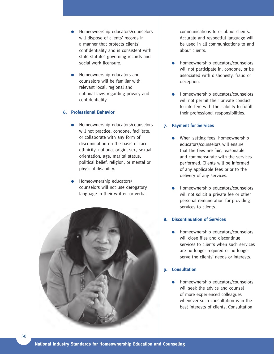- Homeownership educators/counselors will dispose of clients' records in a manner that protects clients' confidentiality and is consistent with state statutes governing records and social work licensure.
- Homeownership educators and counselors will be familiar with relevant local, regional and national laws regarding privacy and confidentiality.

## **6. Professional Behavior**

- Homeownership educators/counselors will not practice, condone, facilitate, or collaborate with any form of discrimination on the basis of race, ethnicity, national origin, sex, sexual orientation, age, marital status, political belief, religion, or mental or physical disability.
- Homeownership educators/ counselors will not use derogatory language in their written or verbal



communications to or about clients. Accurate and respectful language will be used in all communications to and about clients.

- Homeownership educators/counselors will not participate in, condone, or be associated with dishonesty, fraud or deception.
- Homeownership educators/counselors will not permit their private conduct to interfere with their ability to fulfill their professional responsibilities.

## **7. Payment for Services**

- When setting fees, homeownership educators/counselors will ensure that the fees are fair, reasonable and commensurate with the services performed. Clients will be informed of any applicable fees prior to the delivery of any services.
- Homeownership educators/counselors will not solicit a private fee or other personal remuneration for providing services to clients.

## **8. Discontinuation of Services**

Homeownership educators/counselors will close files and discontinue services to clients when such services are no longer required or no longer serve the clients' needs or interests.

## **9. Consultation**

Homeownership educators/counselors will seek the advice and counsel of more experienced colleagues whenever such consultation is in the best interests of clients. Consultation